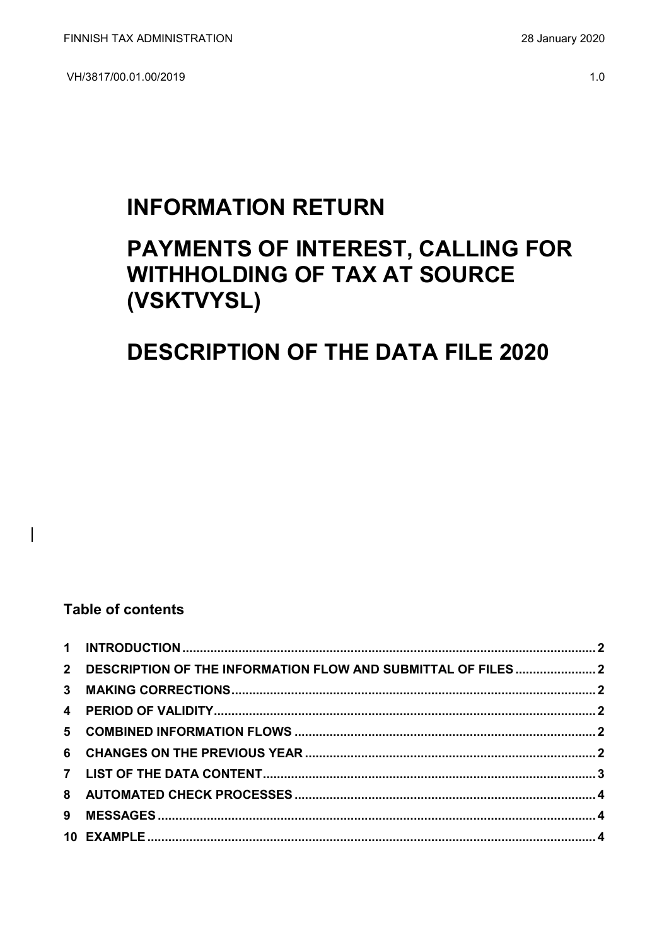VH/3817/00.01.00/2019

## **INFORMATION RETURN**

# PAYMENTS OF INTEREST, CALLING FOR **WITHHOLDING OF TAX AT SOURCE** (VSKTVYSL)

## **DESCRIPTION OF THE DATA FILE 2020**

### **Table of contents**

 $\overline{\phantom{a}}$ 

| 2 DESCRIPTION OF THE INFORMATION FLOW AND SUBMITTAL OF FILES  2 |  |
|-----------------------------------------------------------------|--|
|                                                                 |  |
|                                                                 |  |
|                                                                 |  |
|                                                                 |  |
|                                                                 |  |
|                                                                 |  |
|                                                                 |  |
|                                                                 |  |
|                                                                 |  |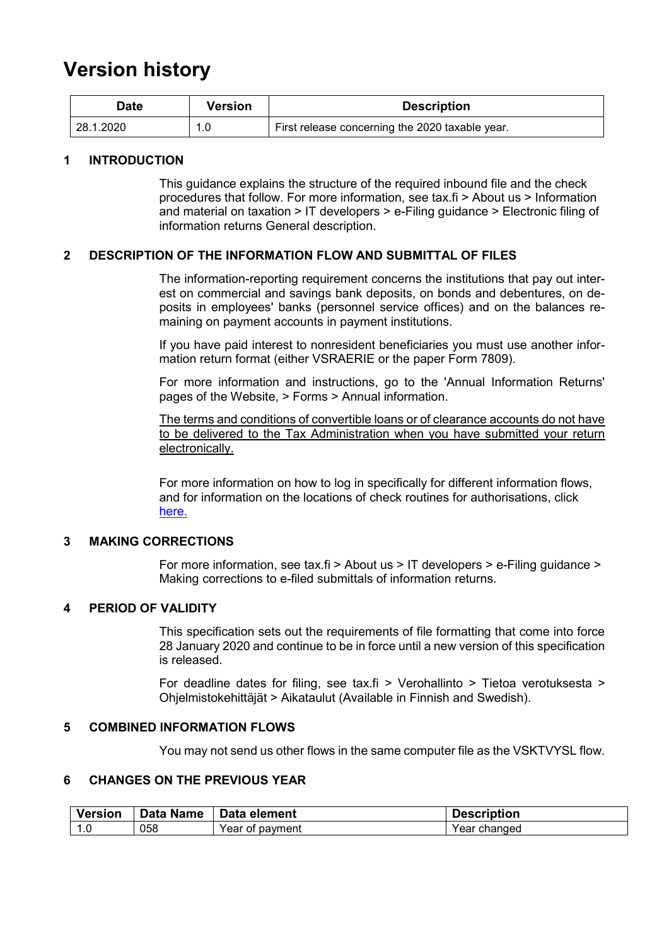### **Version history**

| Date      | Version | <b>Description</b>                              |
|-----------|---------|-------------------------------------------------|
| 28.1.2020 |         | First release concerning the 2020 taxable year. |

#### <span id="page-1-0"></span>**1 INTRODUCTION**

This guidance explains the structure of the required inbound file and the check procedures that follow. For more information, see tax.fi > About us > Information and material on taxation > IT developers > e-Filing guidance > Electronic filing of information returns General description.

#### <span id="page-1-1"></span>**2 DESCRIPTION OF THE INFORMATION FLOW AND SUBMITTAL OF FILES**

The information-reporting requirement concerns the institutions that pay out interest on commercial and savings bank deposits, on bonds and debentures, on deposits in employees' banks (personnel service offices) and on the balances remaining on payment accounts in payment institutions.

If you have paid interest to nonresident beneficiaries you must use another information return format (either VSRAERIE or the paper Form 7809).

For more information and instructions, go to the 'Annual Information Returns' pages of the Website, > Forms > Annual information.

The terms and conditions of convertible loans or of clearance accounts do not have to be delivered to the Tax Administration when you have submitted your return electronically.

For more information on how to log in specifically for different information flows, and for information on the locations of check routines for authorisations, click [here.](https://www.ilmoitin.fi/webtamo/sivut/IlmoituslajiRoolit?kieli=en&tv=VSKTVYSL)

#### <span id="page-1-2"></span>**3 MAKING CORRECTIONS**

For more information, see tax.fi > About us > IT developers > e-Filing guidance > Making corrections to e-filed submittals of information returns.

#### <span id="page-1-3"></span>**4 PERIOD OF VALIDITY**

This specification sets out the requirements of file formatting that come into force 28 January 2020 and continue to be in force until a new version of this specification is released.

For deadline dates for filing, see tax.fi > Verohallinto > Tietoa verotuksesta > Ohjelmistokehittäjät > Aikataulut (Available in Finnish and Swedish).

#### <span id="page-1-4"></span>**5 COMBINED INFORMATION FLOWS**

You may not send us other flows in the same computer file as the VSKTVYSL flow.

#### <span id="page-1-5"></span>**6 CHANGES ON THE PREVIOUS YEAR**

| <b>Version</b> | <b>Data Name</b> | Data element    | <b>Description</b> |
|----------------|------------------|-----------------|--------------------|
| 1.0            | 058              | Year of payment | Year changed       |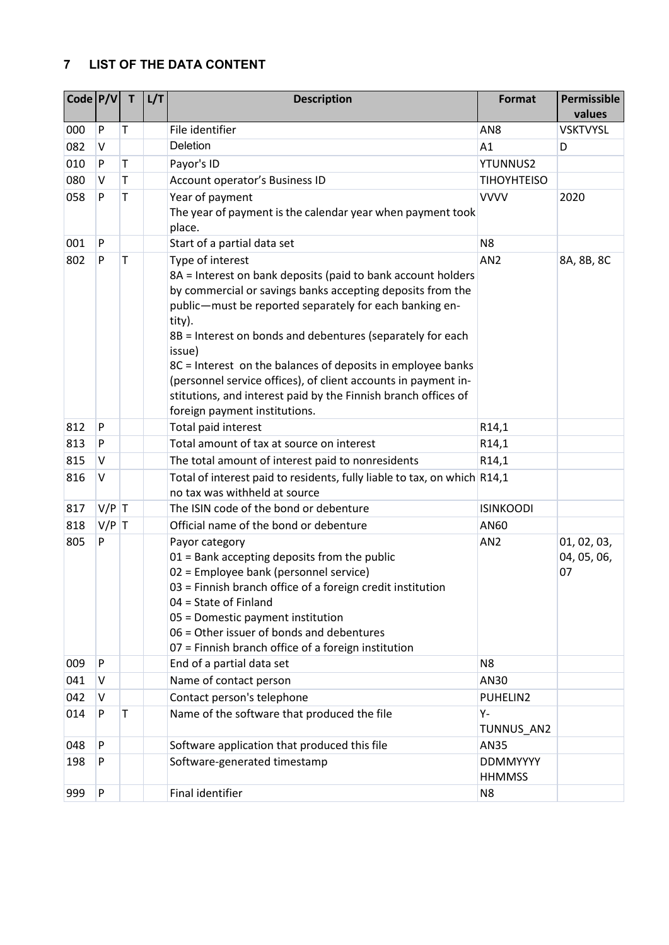### <span id="page-2-0"></span>**7 LIST OF THE DATA CONTENT**

| Code  P/V |         | T | L/T | <b>Description</b>                                                                                                                                                                                                                                                                                                                                                                                                                                                                                                              | Format                           | Permissible<br>values            |
|-----------|---------|---|-----|---------------------------------------------------------------------------------------------------------------------------------------------------------------------------------------------------------------------------------------------------------------------------------------------------------------------------------------------------------------------------------------------------------------------------------------------------------------------------------------------------------------------------------|----------------------------------|----------------------------------|
| 000       | P       | Τ |     | File identifier                                                                                                                                                                                                                                                                                                                                                                                                                                                                                                                 | AN <sub>8</sub>                  | <b>VSKTVYSL</b>                  |
| 082       | V       |   |     | Deletion                                                                                                                                                                                                                                                                                                                                                                                                                                                                                                                        | A1                               | D                                |
| 010       | P       | T |     | Payor's ID                                                                                                                                                                                                                                                                                                                                                                                                                                                                                                                      | <b>YTUNNUS2</b>                  |                                  |
| 080       | V       | Τ |     | Account operator's Business ID                                                                                                                                                                                                                                                                                                                                                                                                                                                                                                  | <b>TIHOYHTEISO</b>               |                                  |
| 058       | P       | Τ |     | Year of payment<br>The year of payment is the calendar year when payment took<br>place.                                                                                                                                                                                                                                                                                                                                                                                                                                         | <b>VVVV</b>                      | 2020                             |
| 001       | P       |   |     | Start of a partial data set                                                                                                                                                                                                                                                                                                                                                                                                                                                                                                     | N <sub>8</sub>                   |                                  |
| 802       | P       | Τ |     | Type of interest<br>8A = Interest on bank deposits (paid to bank account holders<br>by commercial or savings banks accepting deposits from the<br>public-must be reported separately for each banking en-<br>tity).<br>8B = Interest on bonds and debentures (separately for each<br>issue)<br>8C = Interest on the balances of deposits in employee banks<br>(personnel service offices), of client accounts in payment in-<br>stitutions, and interest paid by the Finnish branch offices of<br>foreign payment institutions. | AN <sub>2</sub>                  | 8A, 8B, 8C                       |
| 812       | P       |   |     | Total paid interest                                                                                                                                                                                                                                                                                                                                                                                                                                                                                                             | R14,1                            |                                  |
| 813       | P       |   |     | Total amount of tax at source on interest                                                                                                                                                                                                                                                                                                                                                                                                                                                                                       | R <sub>14</sub> ,1               |                                  |
| 815       | v       |   |     | The total amount of interest paid to nonresidents                                                                                                                                                                                                                                                                                                                                                                                                                                                                               | R <sub>14</sub> ,1               |                                  |
| 816       | v       |   |     | Total of interest paid to residents, fully liable to tax, on which R14,1<br>no tax was withheld at source                                                                                                                                                                                                                                                                                                                                                                                                                       |                                  |                                  |
| 817       | $V/P$ T |   |     | The ISIN code of the bond or debenture                                                                                                                                                                                                                                                                                                                                                                                                                                                                                          | <b>ISINKOODI</b>                 |                                  |
| 818       | $V/P$ T |   |     | Official name of the bond or debenture                                                                                                                                                                                                                                                                                                                                                                                                                                                                                          | AN60                             |                                  |
| 805       | P       |   |     | Payor category<br>01 = Bank accepting deposits from the public<br>02 = Employee bank (personnel service)<br>03 = Finnish branch office of a foreign credit institution<br>04 = State of Finland<br>05 = Domestic payment institution<br>06 = Other issuer of bonds and debentures<br>07 = Finnish branch office of a foreign institution                                                                                                                                                                                        | AN <sub>2</sub>                  | 01, 02, 03,<br>04, 05, 06,<br>07 |
| 009       | P       |   |     | End of a partial data set                                                                                                                                                                                                                                                                                                                                                                                                                                                                                                       | N <sub>8</sub>                   |                                  |
| 041       | V       |   |     | Name of contact person                                                                                                                                                                                                                                                                                                                                                                                                                                                                                                          | AN30                             |                                  |
| 042       | V       |   |     | Contact person's telephone                                                                                                                                                                                                                                                                                                                                                                                                                                                                                                      | PUHELIN2                         |                                  |
| 014       | P       | T |     | Name of the software that produced the file                                                                                                                                                                                                                                                                                                                                                                                                                                                                                     | Υ-<br>TUNNUS_AN2                 |                                  |
| 048       | P       |   |     | Software application that produced this file                                                                                                                                                                                                                                                                                                                                                                                                                                                                                    | <b>AN35</b>                      |                                  |
| 198       | P       |   |     | Software-generated timestamp                                                                                                                                                                                                                                                                                                                                                                                                                                                                                                    | <b>DDMMYYYY</b><br><b>HHMMSS</b> |                                  |
| 999       | P       |   |     | <b>Final identifier</b>                                                                                                                                                                                                                                                                                                                                                                                                                                                                                                         | N <sub>8</sub>                   |                                  |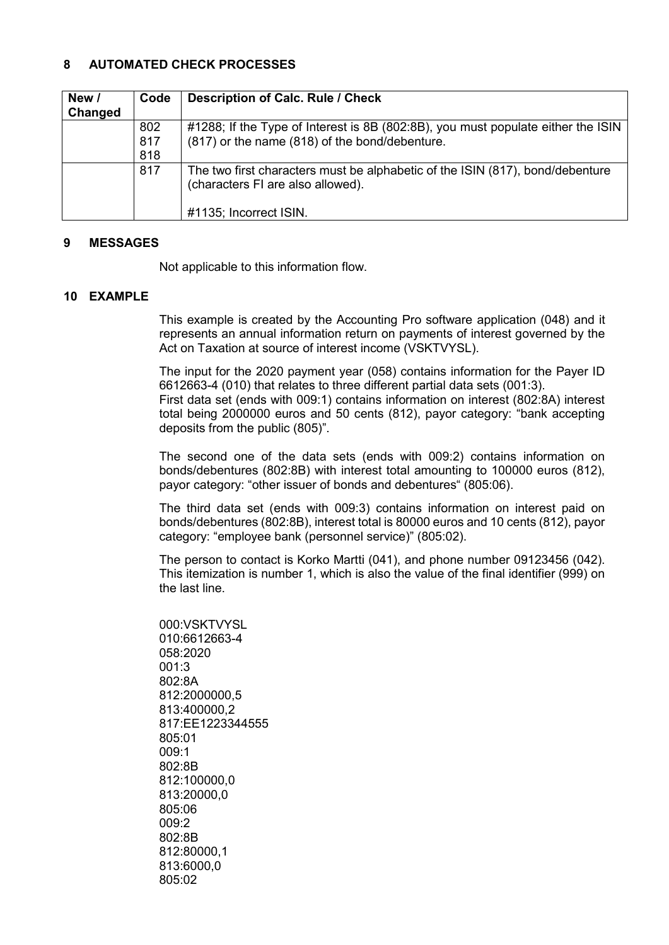#### <span id="page-3-0"></span>**8 AUTOMATED CHECK PROCESSES**

| New /   | Code | <b>Description of Calc. Rule / Check</b>                                         |
|---------|------|----------------------------------------------------------------------------------|
| Changed |      |                                                                                  |
|         | 802  | #1288; If the Type of Interest is 8B (802:8B), you must populate either the ISIN |
|         | 817  | (817) or the name (818) of the bond/debenture.                                   |
|         | 818  |                                                                                  |
|         | 817  | The two first characters must be alphabetic of the ISIN (817), bond/debenture    |
|         |      | (characters FI are also allowed).                                                |
|         |      |                                                                                  |
|         |      | #1135; Incorrect ISIN.                                                           |

#### <span id="page-3-1"></span>**9 MESSAGES**

Not applicable to this information flow.

#### <span id="page-3-2"></span>**10 EXAMPLE**

This example is created by the Accounting Pro software application (048) and it represents an annual information return on payments of interest governed by the Act on Taxation at source of interest income (VSKTVYSL).

The input for the 2020 payment year (058) contains information for the Payer ID 6612663-4 (010) that relates to three different partial data sets (001:3). First data set (ends with 009:1) contains information on interest (802:8A) interest total being 2000000 euros and 50 cents (812), payor category: "bank accepting deposits from the public (805)".

The second one of the data sets (ends with 009:2) contains information on bonds/debentures (802:8B) with interest total amounting to 100000 euros (812), payor category: "other issuer of bonds and debentures" (805:06).

The third data set (ends with 009:3) contains information on interest paid on bonds/debentures (802:8B), interest total is 80000 euros and 10 cents (812), payor category: "employee bank (personnel service)" (805:02).

The person to contact is Korko Martti (041), and phone number 09123456 (042). This itemization is number 1, which is also the value of the final identifier (999) on the last line.

000:VSKTVYSL 010:6612663-4 058:2020 001:3 802:8A 812:2000000,5 813:400000,2 817:EE1223344555 805:01 009:1 802:8B 812:100000,0 813:20000,0 805:06  $009.2$ 802:8B 812:80000,1 813:6000,0 805:02